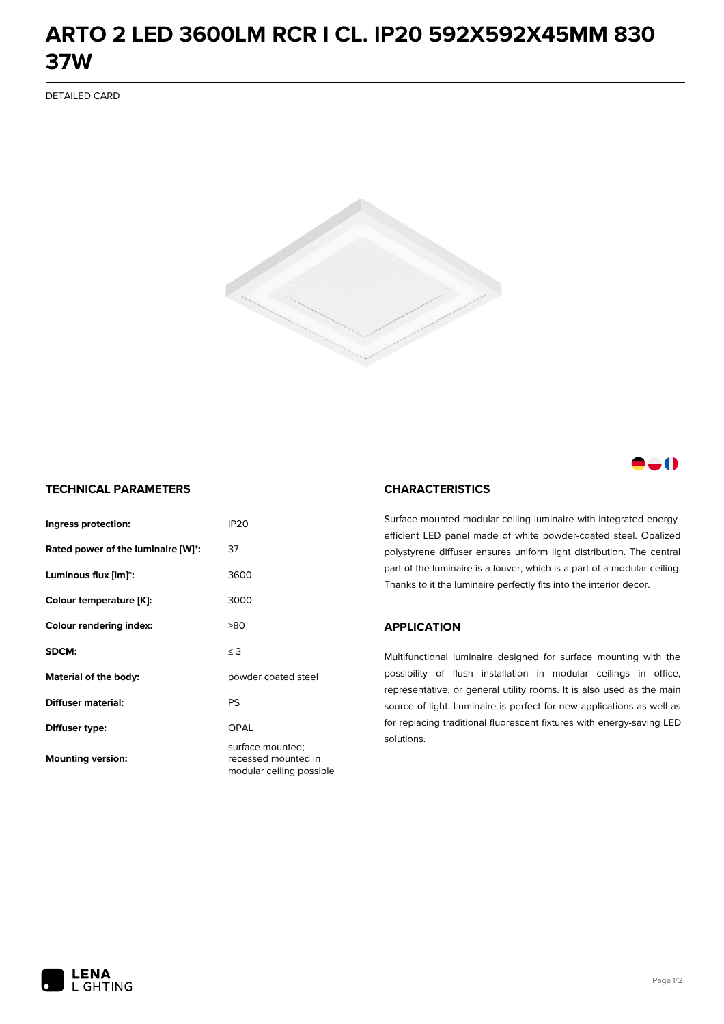## **ARTO 2 LED 3600LM RCR I CL. IP20 592X592X45MM 830 37W**

DETAILED CARD



### -0

#### **TECHNICAL PARAMETERS**

| Ingress protection:                | <b>IP20</b>                                                         |  |
|------------------------------------|---------------------------------------------------------------------|--|
| Rated power of the luminaire [W]*: | 37                                                                  |  |
| Luminous flux [lm]*:               | 3600                                                                |  |
| Colour temperature [K]:            | 3000                                                                |  |
| <b>Colour rendering index:</b>     | >80                                                                 |  |
| SDCM:                              | $\leq 3$                                                            |  |
| Material of the body:              | powder coated steel                                                 |  |
| Diffuser material:                 | PS                                                                  |  |
| Diffuser type:                     | OPAL                                                                |  |
| <b>Mounting version:</b>           | surface mounted;<br>recessed mounted in<br>modular ceiling possible |  |

#### **CHARACTERISTICS**

Surface-mounted modular ceiling luminaire with integrated energyefficient LED panel made of white powder-coated steel. Opalized polystyrene diffuser ensures uniform light distribution. The central part of the luminaire is a louver, which is a part of a modular ceiling. Thanks to it the luminaire perfectly fits into the interior decor.

#### **APPLICATION**

Multifunctional luminaire designed for surface mounting with the possibility of flush installation in modular ceilings in office, representative, or general utility rooms. It is also used as the main source of light. Luminaire is perfect for new applications as well as for replacing traditional fluorescent fixtures with energy-saving LED solutions.